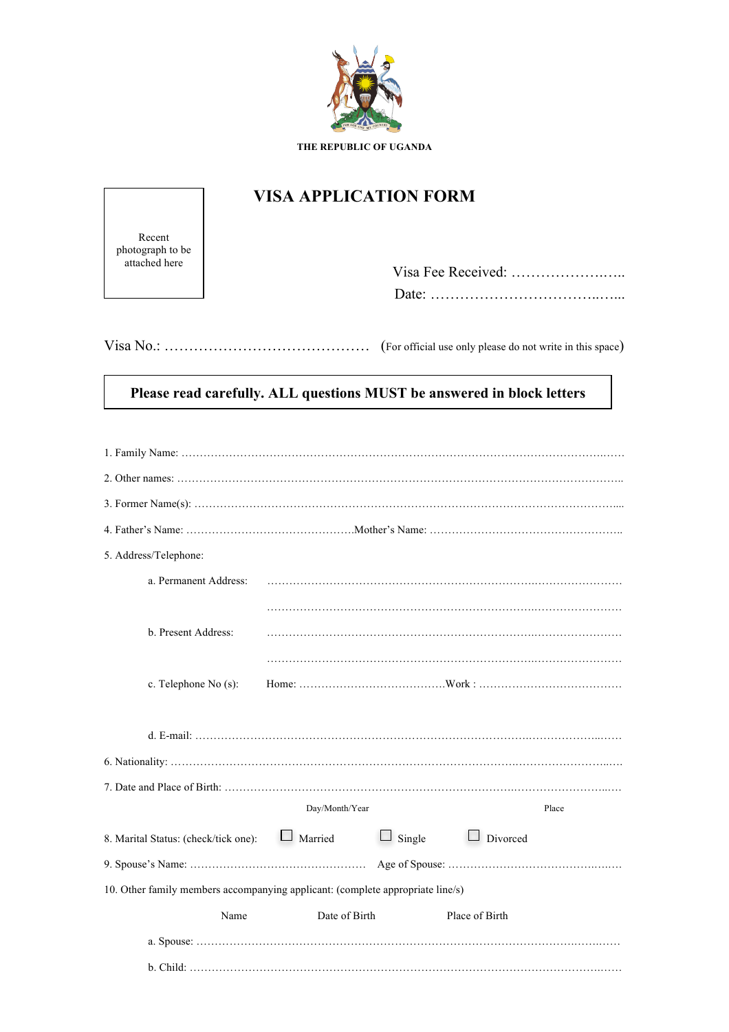

## **VISA APPLICATION FORM**

Recent photograph to be attached here

| Date <sup>-</sup> |
|-------------------|

Visa No.: …………………………………… (For official use only please do not write in this space)

## **Please read carefully. ALL questions MUST be answered in block letters**

| 5. Address/Telephone:                                                          |                |               |                 |  |  |  |  |
|--------------------------------------------------------------------------------|----------------|---------------|-----------------|--|--|--|--|
| a. Permanent Address:                                                          |                |               |                 |  |  |  |  |
|                                                                                |                |               |                 |  |  |  |  |
| b. Present Address:                                                            |                |               |                 |  |  |  |  |
|                                                                                |                |               |                 |  |  |  |  |
| c. Telephone No (s):                                                           |                |               |                 |  |  |  |  |
|                                                                                |                |               |                 |  |  |  |  |
|                                                                                |                |               |                 |  |  |  |  |
|                                                                                |                |               |                 |  |  |  |  |
|                                                                                |                |               |                 |  |  |  |  |
|                                                                                | Day/Month/Year |               | Place           |  |  |  |  |
| 8. Marital Status: (check/tick one):                                           | $\Box$ Married | $\Box$ Single | $\Box$ Divorced |  |  |  |  |
|                                                                                |                |               |                 |  |  |  |  |
| 10. Other family members accompanying applicant: (complete appropriate line/s) |                |               |                 |  |  |  |  |
| Name                                                                           | Date of Birth  |               | Place of Birth  |  |  |  |  |
|                                                                                |                |               |                 |  |  |  |  |
|                                                                                |                |               |                 |  |  |  |  |